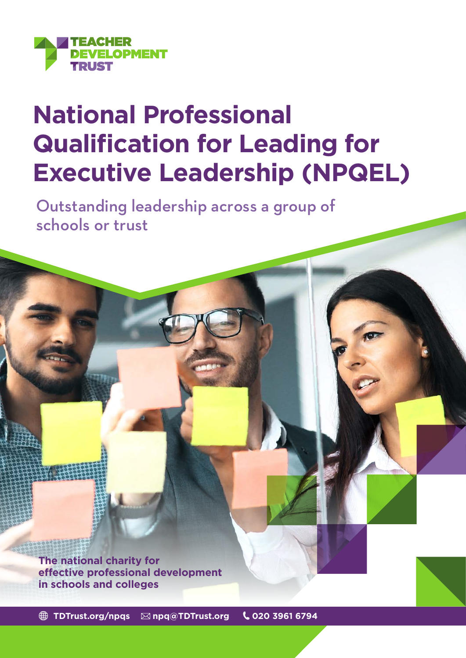

# **National Professional Qualification for Leading for Executive Leadership (NPQEL)**

Outstanding leadership across a group of schools or trust

**The national charity for effective professional development in schools and colleges**

 **[TDTrust.org/npqs](https://tdtrust.org/npqs-from-the-teacher-development-trust-2/) [npq@TDTrust.org](mailto:npq%40TDTrust.org?subject=) 020 3961 6794**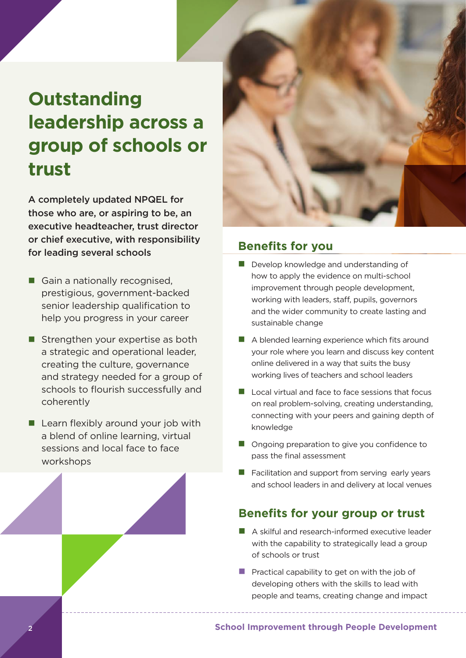## **Outstanding leadership across a group of schools or trust**

A completely updated NPQEL for those who are, or aspiring to be, an executive headteacher, trust director or chief executive, with responsibility for leading several schools **Benefits for you**

- Gain a nationally recognised, prestigious, government-backed senior leadership qualification to help you progress in your career
- $\blacksquare$  Strengthen your expertise as both a strategic and operational leader, creating the culture, governance and strategy needed for a group of schools to flourish successfully and coherently
- $\blacksquare$  Learn flexibly around your job with a blend of online learning, virtual sessions and local face to face workshops



- $\blacksquare$  Develop knowledge and understanding of how to apply the evidence on multi-school improvement through people development, working with leaders, staff, pupils, governors and the wider community to create lasting and sustainable change
- $\blacksquare$  A blended learning experience which fits around your role where you learn and discuss key content online delivered in a way that suits the busy working lives of teachers and school leaders
- $\blacksquare$  Local virtual and face to face sessions that focus on real problem-solving, creating understanding, connecting with your peers and gaining depth of knowledge
- $\blacksquare$  Ongoing preparation to give you confidence to pass the final assessment
- $\blacksquare$  Facilitation and support from serving early years and school leaders in and delivery at local venues

#### **Benefits for your group or trust**

- n A skilful and research-informed executive leader with the capability to strategically lead a group of schools or trust
- **Practical capability to get on with the job of** developing others with the skills to lead with people and teams, creating change and impact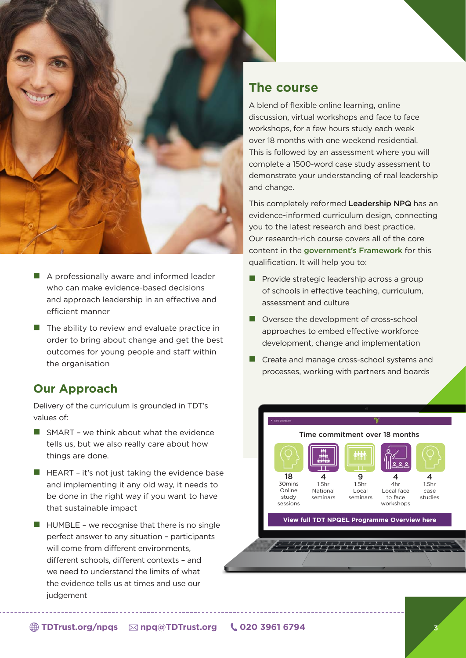

- $\blacksquare$  A professionally aware and informed leader who can make evidence-based decisions and approach leadership in an effective and efficient manner
- $\blacksquare$  The ability to review and evaluate practice in order to bring about change and get the best outcomes for young people and staff within the organisation

#### **Our Approach**

Delivery of the curriculum is grounded in TDT's values of:

- $\blacksquare$  SMART we think about what the evidence tells us, but we also really care about how things are done.
- $\blacksquare$  HEART it's not just taking the evidence base and implementing it any old way, it needs to be done in the right way if you want to have that sustainable impact
- $\blacksquare$  HUMBLE we recognise that there is no single perfect answer to any situation – participants will come from different environments, different schools, different contexts – and we need to understand the limits of what the evidence tells us at times and use our judgement

#### **The course**

A blend of flexible online learning, online discussion, virtual workshops and face to face workshops, for a few hours study each week over 18 months with one weekend residential. This is followed by an assessment where you will complete a 1500-word case study assessment to demonstrate your understanding of real leadership and change.

This completely reformed Leadership NPQ has an evidence-informed curriculum design, connecting you to the latest research and best practice. Our research-rich course covers all of the core content in the [government's Framework](https://assets.publishing.service.gov.uk/government/uploads/system/uploads/attachment_data/file/925506/NPQ_Executive_Leadership.pdf) for this qualification. It will help you to:

- $\blacksquare$  Provide strategic leadership across a group of schools in effective teaching, curriculum, assessment and culture
- $\blacksquare$  Oversee the development of cross-school approaches to embed effective workforce development, change and implementation
- $\blacksquare$  Create and manage cross-school systems and processes, working with partners and boards

Time commitment over 18 months

 $\mathbf o$ 1.5hr Local seminars

**[View full TDT NPQEL Programme Overview here](https://tdtrust.org/wp-content/uploads/2022/05/TDT-NPQEL-Programme-overview.png)**

 $\overline{A}$ 4hr Local face to face workshops

18 30mins Online study sessions

4 1.5hr National seminars

 $\mathcal{L} = \frac{1}{2} \frac{1}{2} \frac{1}{2} \frac{1}{2} \frac{1}{2} \frac{1}{2} \frac{1}{2} \frac{1}{2} \frac{1}{2} \frac{1}{2} \frac{1}{2} \frac{1}{2} \frac{1}{2} \frac{1}{2} \frac{1}{2} \frac{1}{2} \frac{1}{2}$ 

H

 $\lambda$ 1.5hr case studies